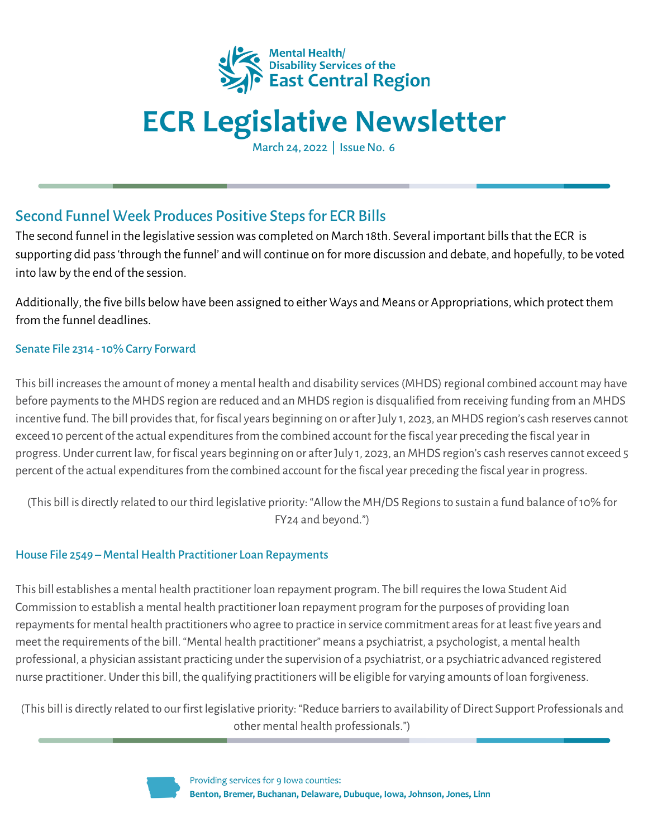

# **ECR Legislative Newsletter**

March 24, 2022 | Issue No. 6

## Second Funnel Week Produces Positive Stepsfor ECR Bills

The second funnel in the legislative session was completed on March 18th. Several important bills that the ECR is supporting did pass 'through the funnel' and will continue on for more discussion and debate, and hopefully, to be voted into lawby the end of the session.

Additionally, the five bills below have been assigned to either Ways and Means or Appropriations, which protect them from the funnel deadlines.

### Senate File 2314 -10% Carry Forward

This bill increasesthe amount of money a mental health and disability services(MHDS) regionalcombined account may have before payments to the MHDS region are reduced and an MHDS region is disqualified from receiving funding from an MHDS incentive fund. The bill provides that, for fiscal years beginning on or after July 1, 2023, an MHDS region's cash reserves cannot exceed 10 percent of the actual expenditures from the combined account for the fiscal year preceding the fiscal year in progress. Under current law, for fiscal years beginning on or after July 1, 2023, an MHDS region's cash reserves cannot exceed 5 percent of the actual expendituresfrom the combined account for the fiscal year preceding the fiscal year in progress.

(This bill is directly related to our third legislative priority: "Allowthe MH/DS Regionsto sustain a fund balance of10% for FY24 and beyond.")

#### House File 2549 – Mental Health Practitioner Loan Repayments

This bill establishes a mental health practitioner loan repayment program. The bill requiresthe Iowa Student Aid Commission to establish a mental health practitioner loan repayment program for the purposes of providing loan repayments for mental health practitioners who agree to practice in service commitment areas for at least five years and meet the requirements of the bill. "Mental health practitioner" means a psychiatrist, a psychologist, a mental health professional, a physician assistant practicing under the supervision of a psychiatrist, or a psychiatric advanced registered nurse practitioner. Under this bill, the qualifying practitionerswill be eligible for varying amounts of loan forgiveness.

(This bill is directly related to our first legislative priority: "Reduce barriersto availability of Direct Support Professionals and other mental health professionals.")